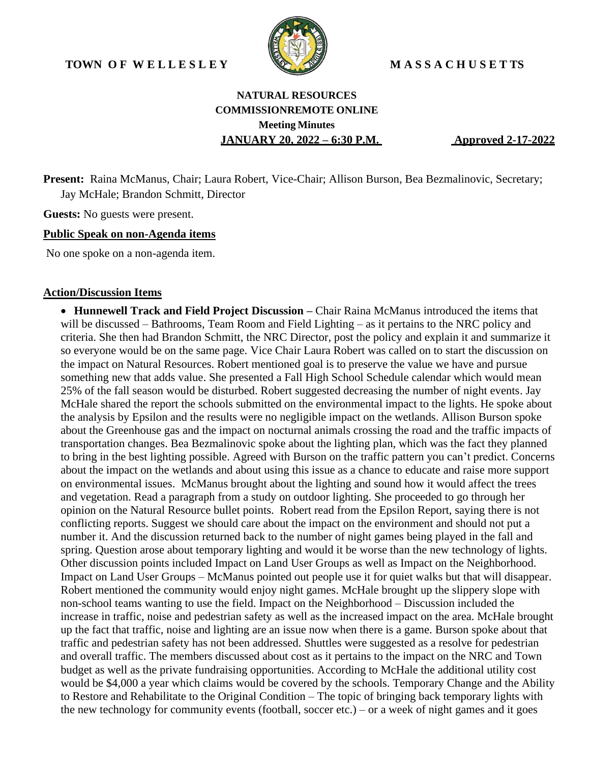

# **NATURAL RESOURCES COMMISSIONREMOTE ONLINE Meeting Minutes JANUARY 20, 2022 – 6:30 P.M. Approved 2-17-2022**

**Present:** Raina McManus, Chair; Laura Robert, Vice-Chair; Allison Burson, Bea Bezmalinovic, Secretary; Jay McHale; Brandon Schmitt, Director

**Guests:** No guests were present.

#### **Public Speak on non-Agenda items**

No one spoke on a non-agenda item.

#### **Action/Discussion Items**

• **Hunnewell Track and Field Project Discussion –** Chair Raina McManus introduced the items that will be discussed – Bathrooms, Team Room and Field Lighting – as it pertains to the NRC policy and criteria. She then had Brandon Schmitt, the NRC Director, post the policy and explain it and summarize it so everyone would be on the same page. Vice Chair Laura Robert was called on to start the discussion on the impact on Natural Resources. Robert mentioned goal is to preserve the value we have and pursue something new that adds value. She presented a Fall High School Schedule calendar which would mean 25% of the fall season would be disturbed. Robert suggested decreasing the number of night events. Jay McHale shared the report the schools submitted on the environmental impact to the lights. He spoke about the analysis by Epsilon and the results were no negligible impact on the wetlands. Allison Burson spoke about the Greenhouse gas and the impact on nocturnal animals crossing the road and the traffic impacts of transportation changes. Bea Bezmalinovic spoke about the lighting plan, which was the fact they planned to bring in the best lighting possible. Agreed with Burson on the traffic pattern you can't predict. Concerns about the impact on the wetlands and about using this issue as a chance to educate and raise more support on environmental issues. McManus brought about the lighting and sound how it would affect the trees and vegetation. Read a paragraph from a study on outdoor lighting. She proceeded to go through her opinion on the Natural Resource bullet points. Robert read from the Epsilon Report, saying there is not conflicting reports. Suggest we should care about the impact on the environment and should not put a number it. And the discussion returned back to the number of night games being played in the fall and spring. Question arose about temporary lighting and would it be worse than the new technology of lights. Other discussion points included Impact on Land User Groups as well as Impact on the Neighborhood. Impact on Land User Groups – McManus pointed out people use it for quiet walks but that will disappear. Robert mentioned the community would enjoy night games. McHale brought up the slippery slope with non-school teams wanting to use the field. Impact on the Neighborhood – Discussion included the increase in traffic, noise and pedestrian safety as well as the increased impact on the area. McHale brought up the fact that traffic, noise and lighting are an issue now when there is a game. Burson spoke about that traffic and pedestrian safety has not been addressed. Shuttles were suggested as a resolve for pedestrian and overall traffic. The members discussed about cost as it pertains to the impact on the NRC and Town budget as well as the private fundraising opportunities. According to McHale the additional utility cost would be \$4,000 a year which claims would be covered by the schools. Temporary Change and the Ability to Restore and Rehabilitate to the Original Condition – The topic of bringing back temporary lights with the new technology for community events (football, soccer etc.) – or a week of night games and it goes